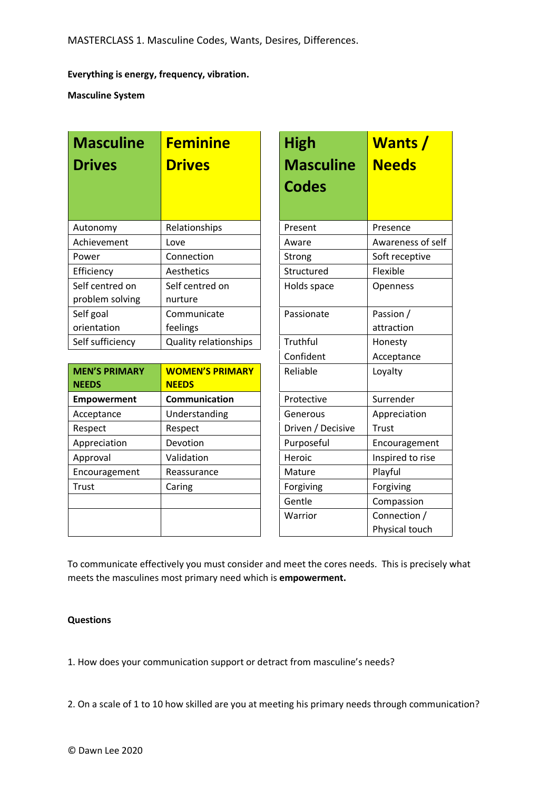# **Everything is energy, frequency, vibration.**

**Masculine System** 

| <b>Masculine</b><br><b>Drives</b>  | <b>Feminine</b><br><b>Drives</b> | <b>High</b><br><b>Masculine</b><br><b>Codes</b> | <b>Wants</b> /<br><b>Needs</b> |
|------------------------------------|----------------------------------|-------------------------------------------------|--------------------------------|
| Autonomy                           | Relationships                    | Present                                         | Presence                       |
| Achievement                        | Love                             | Aware                                           | Awareness of self              |
| Power                              | Connection                       | Strong                                          | Soft receptive                 |
| Efficiency                         | Aesthetics                       | Structured                                      | Flexible                       |
| Self centred on<br>problem solving | Self centred on<br>nurture       | Holds space                                     | Openness                       |
| Self goal                          | Communicate                      | Passionate                                      | Passion /                      |
| orientation                        | feelings                         |                                                 | attraction                     |
| Self sufficiency                   | <b>Quality relationships</b>     | Truthful                                        | Honesty                        |

| <b>MEN'S PRIMARY</b><br><b>NEEDS</b> | <b>WOMEN'S PRIMARY</b><br><b>NEEDS</b> | Reliable          | Loyalty          |
|--------------------------------------|----------------------------------------|-------------------|------------------|
| <b>Empowerment</b>                   | Communication                          | Protective        | Surrender        |
| Acceptance                           | Understanding                          | Generous          | Appreciation     |
| Respect                              | Respect                                | Driven / Decisive | Trust            |
| Appreciation                         | Devotion                               | Purposeful        | Encouragement    |
| Approval                             | Validation                             | Heroic            | Inspired to rise |
| Encouragement                        | Reassurance                            | Mature            | Playful          |
| Trust                                | Caring                                 | Forgiving         | Forgiving        |
|                                      |                                        | Gentle            | Compassion       |
|                                      |                                        | Warrior           | Connection /     |
|                                      |                                        |                   | Physical touch   |

| High<br><b>Masculine</b><br><b>Codes</b> | <b>Wants</b> /<br><b>Needs</b> |  |  |
|------------------------------------------|--------------------------------|--|--|
| Present                                  | Presence                       |  |  |
| Aware                                    | Awareness of self              |  |  |
| Strong                                   | Soft receptive                 |  |  |
| Structured                               | Flexible                       |  |  |
| Holds space                              | Openness                       |  |  |
| Passionate                               | Passion /                      |  |  |
|                                          | attraction                     |  |  |
| Truthful                                 | Honesty                        |  |  |
| Confident                                | Acceptance                     |  |  |
| Reliable                                 | Loyalty                        |  |  |
| Protective                               | Surrender                      |  |  |
| Generous                                 | Appreciation                   |  |  |
| Driven / Decisive                        | Trust                          |  |  |
| Purposeful                               | Encouragement                  |  |  |
| Heroic                                   | Inspired to rise               |  |  |
| Mature                                   | Playful                        |  |  |
| Forgiving                                | Forgiving                      |  |  |
| Gentle                                   | Compassion                     |  |  |
| Warrior                                  | Connection /                   |  |  |
|                                          | Physical touch                 |  |  |

To communicate effectively you must consider and meet the cores needs. This is precisely what meets the masculines most primary need which is **empowerment.**

## **Questions**

1. How does your communication support or detract from masculine's needs?

2. On a scale of 1 to 10 how skilled are you at meeting his primary needs through communication?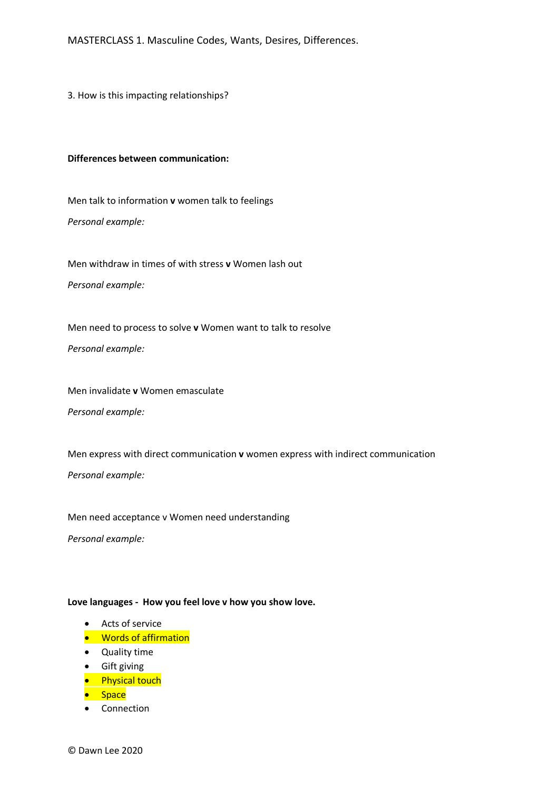MASTERCLASS 1. Masculine Codes, Wants, Desires, Differences.

3. How is this impacting relationships?

#### **Differences between communication:**

Men talk to information **v** women talk to feelings *Personal example:*

Men withdraw in times of with stress **v** Women lash out *Personal example:*

Men need to process to solve **v** Women want to talk to resolve

*Personal example:*

Men invalidate **v** Women emasculate *Personal example:*

Men express with direct communication **v** women express with indirect communication *Personal example:*

Men need acceptance v Women need understanding

*Personal example:*

## **Love languages - How you feel love v how you show love.**

- Acts of service
- Words of affirmation
- Quality time
- Gift giving
- **•** Physical touch
- Space
- Connection